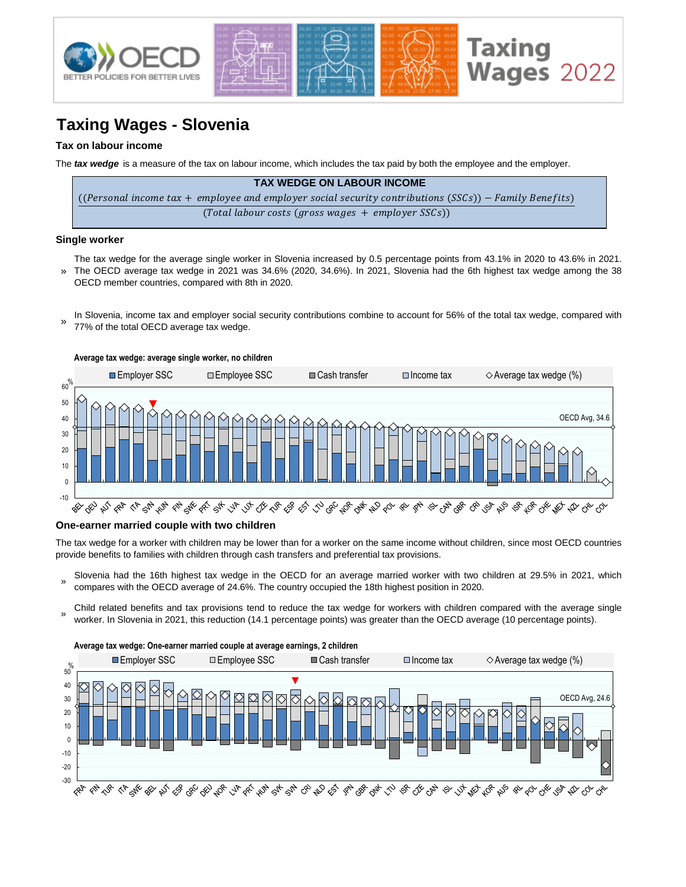

# **Taxing Wages - Slovenia**

### **Tax on labour income**

The *tax wedge* is a measure of the tax on labour income, which includes the tax paid by both the employee and the employer.

| <b>TAX WEDGE ON LABOUR INCOME</b>                                                                      |
|--------------------------------------------------------------------------------------------------------|
| ((Personal income tax + employee and employer social security contributions (SSCs)) – Family Benefits) |
| (Total labour costs (gross wages $+$ employer SSCs))                                                   |

#### **Single worker**

- » The tax wedge for the average single worker in Slovenia increased by 0.5 percentage points from 43.1% in 2020 to 43.6% in 2021. The OECD average tax wedge in 2021 was 34.6% (2020, 34.6%). In 2021, Slovenia had the 6th highest tax wedge among the 38
- In Slovenia, income tax and employer social security contributions combine to account for 56% of the total tax wedge, compared with
- 77% of the total OECD average tax wedge. »

OECD member countries, compared with 8th in 2020.



#### **One-earner married couple with two children**

The tax wedge for a worker with children may be lower than for a worker on the same income without children, since most OECD countries provide benefits to families with children through cash transfers and preferential tax provisions.

- » Slovenia had the 16th highest tax wedge in the OECD for an average married worker with two children at 29.5% in 2021, which compares with the OECD average of 24.6%. The country occupied the 18th highest position in 2020.
- Child related benefits and tax provisions tend to reduce the tax wedge for workers with children compared with the average single worker. In Slovenia in 2021, this reduction (14.1 percentage points) was greater than the OECD average (10 percentage points).